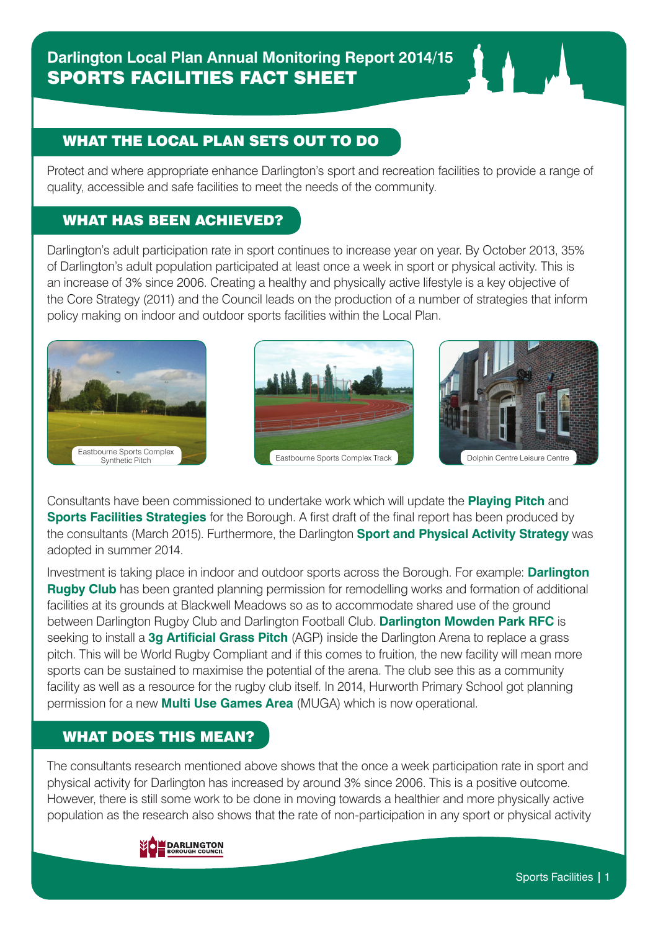## WHAT THE LOCAL PLAN SETS OUT TO DO

Protect and where appropriate enhance Darlington's sport and recreation facilities to provide a range of quality, accessible and safe facilities to meet the needs of the community.

## WHAT HAS BEEN ACHIEVED?

Darlington's adult participation rate in sport continues to increase year on year. By October 2013, 35% of Darlington's adult population participated at least once a week in sport or physical activity. This is an increase of 3% since 2006. Creating a healthy and physically active lifestyle is a key objective of the Core Strategy (2011) and the Council leads on the production of a number of strategies that inform policy making on indoor and outdoor sports facilities within the Local Plan.







Consultants have been commissioned to undertake work which will update the **Playing Pitch** and **Sports Facilities Strategies** for the Borough. A first draft of the final report has been produced by the consultants (March 2015). Furthermore, the Darlington **Sport and Physical Activity Strategy** was adopted in summer 2014.

Investment is taking place in indoor and outdoor sports across the Borough. For example: **Darlington Rugby Club** has been granted planning permission for remodelling works and formation of additional facilities at its grounds at Blackwell Meadows so as to accommodate shared use of the ground between Darlington Rugby Club and Darlington Football Club. **Darlington Mowden Park RFC** is seeking to install a **3g Artificial Grass Pitch** (AGP) inside the Darlington Arena to replace a grass pitch. This will be World Rugby Compliant and if this comes to fruition, the new facility will mean more sports can be sustained to maximise the potential of the arena. The club see this as a community facility as well as a resource for the rugby club itself. In 2014, Hurworth Primary School got planning permission for a new **Multi Use Games Area** (MUGA) which is now operational.

## WHAT DOES THIS MEAN?

The consultants research mentioned above shows that the once a week participation rate in sport and physical activity for Darlington has increased by around 3% since 2006. This is a positive outcome. However, there is still some work to be done in moving towards a healthier and more physically active population as the research also shows that the rate of non-participation in any sport or physical activity